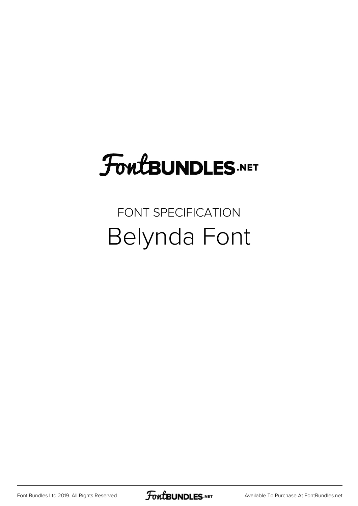## **FoutBUNDLES.NET**

## FONT SPECIFICATION Belynda Font

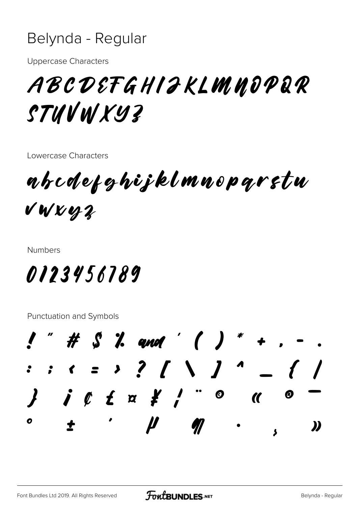## Belynda - Regular

**Uppercase Characters** 

ABCDEFGHIJKLMNOPQR STUVWXYZ

Lowercase Characters

abcdefghijklmnoparstu VWXYZ

**Numbers** 

0123456789

Punctuation and Symbols

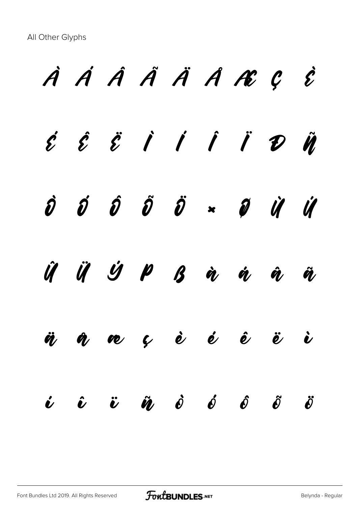À Á Â Ã Ä Å Æ Ç È  $\acute{\mathcal{E}}$   $\acute{\mathcal{E}}$   $\acute{\mathcal{E}}$   $\acute{\mathcal{I}}$   $\acute{\mathcal{I}}$   $\acute{\mathcal{I}}$   $\acute{\mathcal{I}}$   $\acute{\mathcal{V}}$   $\ddot{\mathcal{V}}$ Ò Ó Ô Õ Ö × Ø Ù Ú Û Ü Ý Þ ß à á â ã ä å æ ç è é ê ë ì  $\dot{\boldsymbol{\nu}}$   $\dot{\boldsymbol{\nu}}$   $\ddot{\boldsymbol{v}}$   $\dot{\boldsymbol{\nu}}$   $\dot{\boldsymbol{\nu}}$   $\dot{\boldsymbol{\nu}}$   $\dot{\boldsymbol{\nu}}$   $\dot{\boldsymbol{\nu}}$   $\dot{\boldsymbol{\nu}}$   $\dot{\boldsymbol{\nu}}$   $\ddot{\boldsymbol{\nu}}$   $\ddot{\boldsymbol{\nu}}$